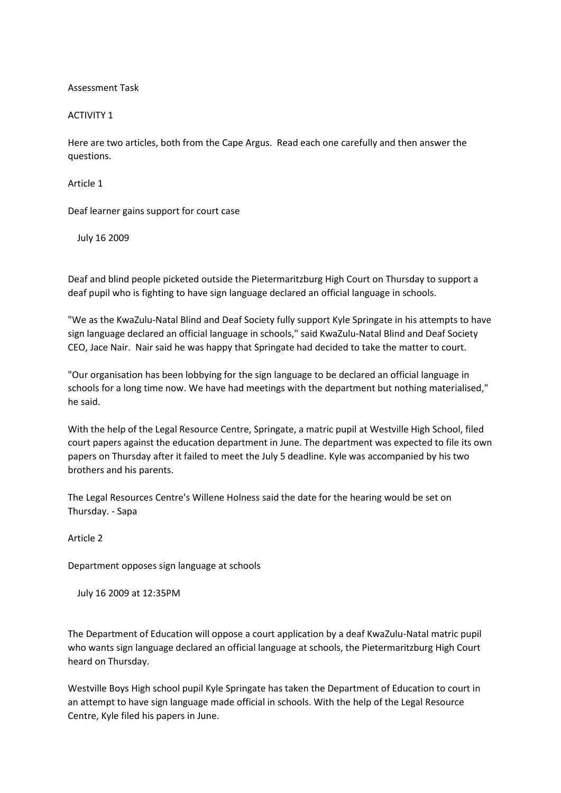Assessment Task

## ACTIVITY 1

Here are two articles, both from the Cape Argus. Read each one carefully and then answer the questions.

Article 1

Deaf learner gains support for court case

July 16 2009

Deaf and blind people picketed outside the Pietermaritzburg High Court on Thursday to support a deaf pupil who is fighting to have sign language declared an official language in schools.

"We as the KwaZulu-Natal Blind and Deaf Society fully support Kyle Springate in his attempts to have sign language declared an official language in schools," said KwaZulu-Natal Blind and Deaf Society CEO, Jace Nair. Nair said he was happy that Springate had decided to take the matter to court.

"Our organisation has been lobbying for the sign language to be declared an official language in schools for a long time now. We have had meetings with the department but nothing materialised," he said.

With the help of the Legal Resource Centre, Springate, a matric pupil at Westville High School, filed court papers against the education department in June. The department was expected to file its own papers on Thursday after it failed to meet the July 5 deadline. Kyle was accompanied by his two brothers and his parents.

The Legal Resources Centre's Willene Holness said the date for the hearing would be set on Thursday. - Sapa

Article 2

Department opposes sign language at schools

July 16 2009 at 12:35PM

The Department of Education will oppose a court application by a deaf KwaZulu-Natal matric pupil who wants sign language declared an official language at schools, the Pietermaritzburg High Court heard on Thursday.

Westville Boys High school pupil Kyle Springate has taken the Department of Education to court in an attempt to have sign language made official in schools. With the help of the Legal Resource Centre, Kyle filed his papers in June.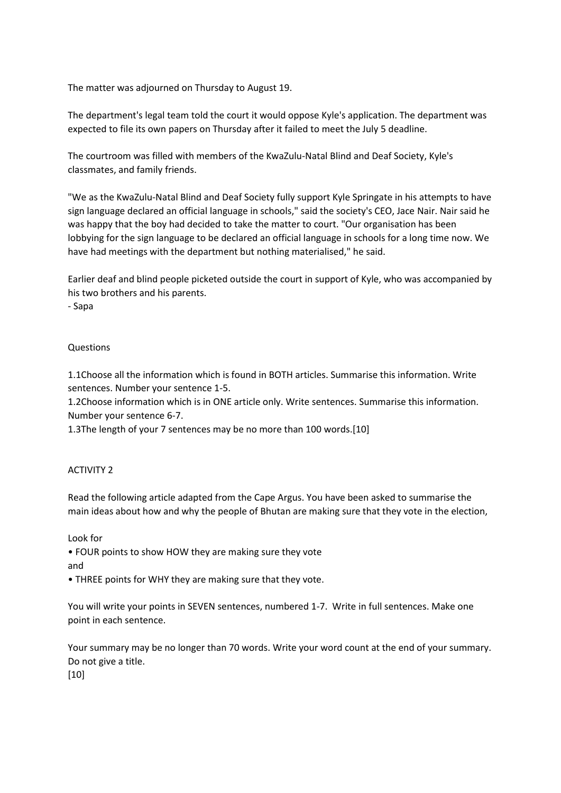The matter was adjourned on Thursday to August 19.

The department's legal team told the court it would oppose Kyle's application. The department was expected to file its own papers on Thursday after it failed to meet the July 5 deadline.

The courtroom was filled with members of the KwaZulu-Natal Blind and Deaf Society, Kyle's classmates, and family friends.

"We as the KwaZulu-Natal Blind and Deaf Society fully support Kyle Springate in his attempts to have sign language declared an official language in schools," said the society's CEO, Jace Nair. Nair said he was happy that the boy had decided to take the matter to court. "Our organisation has been lobbying for the sign language to be declared an official language in schools for a long time now. We have had meetings with the department but nothing materialised," he said.

Earlier deaf and blind people picketed outside the court in support of Kyle, who was accompanied by his two brothers and his parents.

- Sapa

## Questions

1.1Choose all the information which is found in BOTH articles. Summarise this information. Write sentences. Number your sentence 1-5.

1.2Choose information which is in ONE article only. Write sentences. Summarise this information. Number your sentence 6-7.

1.3The length of your 7 sentences may be no more than 100 words.[10]

## ACTIVITY 2

Read the following article adapted from the Cape Argus. You have been asked to summarise the main ideas about how and why the people of Bhutan are making sure that they vote in the election,

Look for

• FOUR points to show HOW they are making sure they vote and

• THREE points for WHY they are making sure that they vote.

You will write your points in SEVEN sentences, numbered 1-7. Write in full sentences. Make one point in each sentence.

Your summary may be no longer than 70 words. Write your word count at the end of your summary. Do not give a title.

[10]